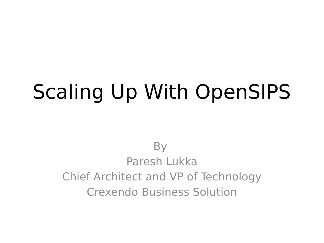## Scaling Up With OpenSIPS

**By** Paresh Lukka Chief Architect and VP of Technology Crexendo Business Solution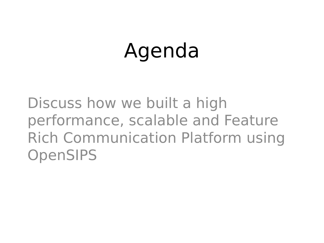# Agenda

Discuss how we built a high performance, scalable and Feature Rich Communication Platform using **OpenSIPS**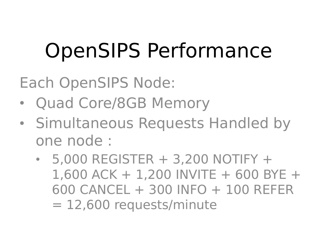# OpenSIPS Performance

Each OpenSIPS Node:

- Quad Core/8GB Memory
- Simultaneous Requests Handled by one node :
	- $\cdot$  5,000 REGISTER  $+$  3,200 NOTIFY  $+$  $1,600$  ACK + 1,200 INVITE + 600 BYE + 600 CANCEL + 300 INFO + 100 REFER = 12,600 requests/minute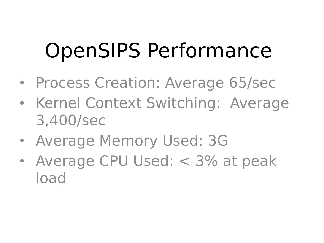# OpenSIPS Performance

- Process Creation: Average 65/sec
- Kernel Context Switching: Average 3,400/sec
- Average Memory Used: 3G
- Average CPU Used: < 3% at peak load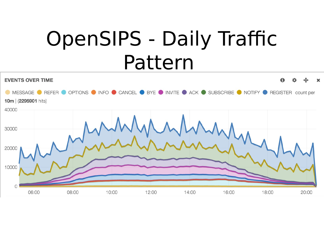# OpenSIPS - Daily Traffic Pattern

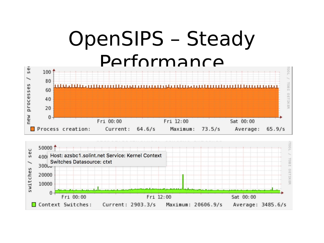### OpenSIPS – Steady Performance



Maximum: 20606.9/s

Average: 3485.6/s

Current: 2903.3/s

Context Switches: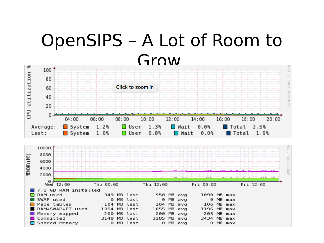#### OpenSIPS – A Lot of Room to Grow



7.8 GB RAM installed RAM used 949 MB last 950 MB avg 1090 MB max ⊓ SWAP used 0 MB last  $0$  MB  $ava$  $0$  MB max Page tables 104 MB last  $104$  MB avg  $106$  MB max RAM+SWAP+PT used 1054 MB last 1055 MB avg  $1196$  MB max Memory mapped 200 MB last 200 MB avg  $203$  MB max Committed 3185 MB avg 3148 MB last 3434 MB max Shared Memory 0 MB last  $0$  MB  $ava$  $0$  MB  $max$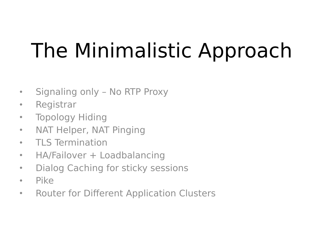# The Minimalistic Approach

- Signaling only No RTP Proxy
- Registrar
- Topology Hiding
- NAT Helper, NAT Pinging
- TLS Termination
- HA/Failover + Loadbalancing
- Dialog Caching for sticky sessions
- Pike
- Router for Different Application Clusters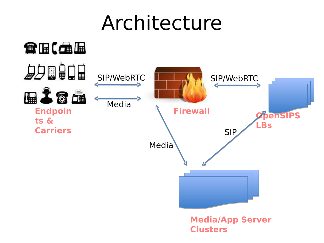### Architecture

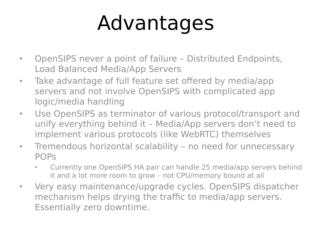# Advantages

- OpenSIPS never a point of failure Distributed Endpoints, Load Balanced Media/App Servers
- Take advantage of full feature set offered by media/app servers and not involve OpenSIPS with complicated app logic/media handling
- Use OpenSIPS as terminator of various protocol/transport and unify everything behind it – Media/App servers don't need to implement various protocols (like WebRTC) themselves
- Tremendous horizontal scalability no need for unnecessary POPs
	- Currently one OpenSIPS HA pair can handle 25 media/app servers behind it and a lot more room to grow – not CPU/memory bound at all
- Very easy maintenance/upgrade cycles. OpenSIPS dispatcher mechanism helps drying the traffic to media/app servers. Essentially zero downtime.